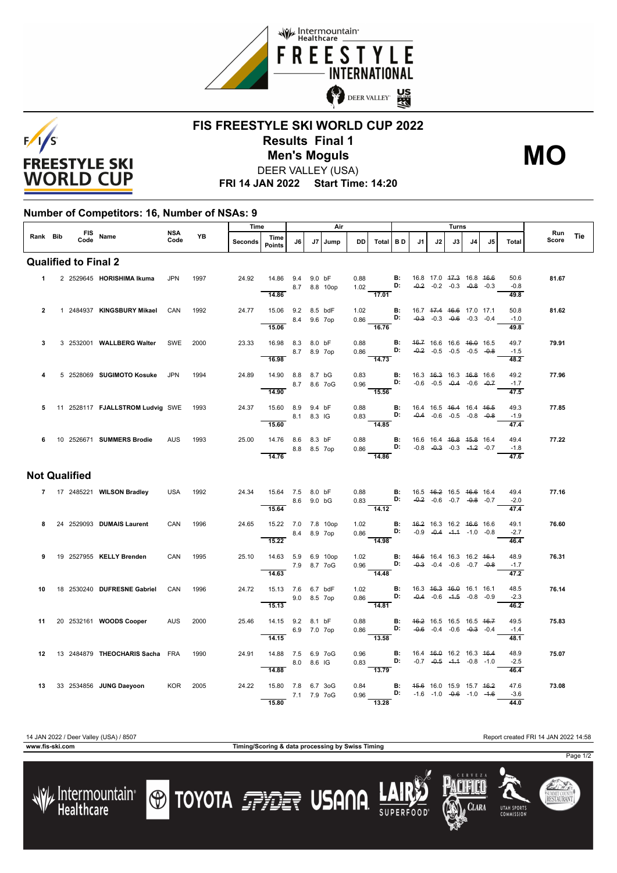



## **FIS FREESTYLE SKI WORLD CUP 2022 Results Final 1** DEER VALLEY (USA) **Men's Moguls MO**

**FRI 14 JAN 2022 Start Time: 14:20**

## **Number of Competitors: 16, Number of NSAs: 9**

|                             |  | FIS Name             |                                              | <b>NSA</b><br>Code | YB   | Time    |                                     | Air         |            |              |              |                                                                                                             | Turns     |                                                           |    |                                                                |    |    |                | Run   |     |
|-----------------------------|--|----------------------|----------------------------------------------|--------------------|------|---------|-------------------------------------|-------------|------------|--------------|--------------|-------------------------------------------------------------------------------------------------------------|-----------|-----------------------------------------------------------|----|----------------------------------------------------------------|----|----|----------------|-------|-----|
| Rank Bib                    |  |                      |                                              |                    |      | Seconds | Time<br>Points                      | J6          | J7         | Jump         | DD           | Total                                                                                                       | <b>BD</b> | J1                                                        | J2 | J3                                                             | J4 | J5 | Total          | Score | Tie |
| <b>Qualified to Final 2</b> |  |                      |                                              |                    |      |         |                                     |             |            |              |              |                                                                                                             |           |                                                           |    |                                                                |    |    |                |       |     |
| $\mathbf{1}$                |  |                      | 2 2529645 HORISHIMA Ikuma                    | <b>JPN</b>         | 1997 | 24.92   | 14.86 9.4                           |             | 9.0 bF     | 8.7 8.8 10op | 0.88         | 1.02 <b>D:</b>                                                                                              | <b>B:</b> |                                                           |    | 16.8 17.0 47.3 16.8 46.6<br>$-0.2$ $-0.2$ $-0.3$ $-0.8$ $-0.3$ |    |    | 50.6<br>$-0.8$ | 81.67 |     |
|                             |  |                      |                                              |                    |      |         | 14.86                               |             |            |              |              | $-17.01$                                                                                                    |           |                                                           |    |                                                                |    |    | 49.8           |       |     |
| $\mathbf{2}$                |  |                      | 1 2484937 KINGSBURY Mikael                   | CAN                | 1992 | 24.77   | 15.06 9.2 8.5 bdF<br>8.4 9.6 7op    |             |            |              | 1.02         | $0.86$ D: $-0.3$ $-0.3$ $-0.6$ $-0.3$ $-0.4$                                                                |           | <b>B:</b> 16.7 47.4 46.6 17.0 17.1                        |    |                                                                |    |    | 50.8<br>$-1.0$ | 81.62 |     |
|                             |  |                      |                                              |                    |      |         | 15.06                               |             |            |              |              | $\frac{16.76}{ }$                                                                                           |           |                                                           |    |                                                                |    |    | 49.8           |       |     |
| 3                           |  |                      | 3 2532001 WALLBERG Walter                    | SWE                | 2000 | 23.33   | 16.98 8.3 8.0 bF                    | 8.7 8.9 7op |            |              | 0.88<br>0.86 | D:                                                                                                          | <b>B:</b> |                                                           |    | 46.7 16.6 16.6 46.0 16.5<br>$-0.2$ $-0.5$ $-0.5$ $-0.5$ $-0.8$ |    |    | 49.7<br>$-1.5$ | 79.91 |     |
|                             |  |                      |                                              |                    |      |         | 16.98                               |             |            |              |              | $\overline{14.73}$                                                                                          |           |                                                           |    |                                                                |    |    | 48.2           |       |     |
| 4                           |  |                      | 5 2528069 SUGIMOTO Kosuke JPN                |                    | 1994 | 24.89   | 14.90 8.8 8.7 bG<br>8.7 8.6 7oG     |             |            |              | 0.83         | $0.96$ D: $-0.6$ $-0.5$ $-0.4$ $-0.6$ $-0.7$                                                                |           | <b>B:</b> 16.3 46.3 16.3 46.8 16.6                        |    |                                                                |    |    | 49.2<br>$-1.7$ | 77.96 |     |
|                             |  |                      |                                              |                    |      |         | 14.90                               |             |            |              |              | $-15.56$                                                                                                    |           |                                                           |    |                                                                |    |    | 47.5           |       |     |
| 5                           |  |                      | 11 2528117 <b>FJALLSTROM Ludvig SWE</b> 1993 |                    |      | 24.37   | 15.60 8.9 9.4 bF                    |             | 8.1 8.3 IG |              | 0.88         | 0.83 <b>D:</b> $-0.4$ $-0.6$ $-0.5$ $-0.8$ $-0.8$                                                           |           | <b>B</b> : 16.4 16.5 <del>16.4</del> 16.4 <del>16.5</del> |    |                                                                |    |    | 49.3<br>$-1.9$ | 77.85 |     |
|                             |  |                      |                                              |                    |      |         | 15.60                               |             |            |              |              | $\frac{1}{14.85}$                                                                                           |           |                                                           |    |                                                                |    |    | 47.4           |       |     |
| 6                           |  |                      | 10 2526671 SUMMERS Brodie                    | <b>AUS</b>         | 1993 | 25.00   | 14.76 8.6 8.3 bF<br>8.8 8.5 7op     |             |            |              |              | 0.88 <b>B</b> : 16.6 16.4 <del>16.8</del> 1 <del>5.8</del> 16.4<br>0.86 <b>D</b> : -0.8 -0.3 -0.3 -1.2 -0.7 |           |                                                           |    |                                                                |    |    | 49.4<br>$-1.8$ | 77.22 |     |
|                             |  |                      |                                              |                    |      |         | 14.76                               |             |            |              |              | $\overline{14.86}$                                                                                          |           |                                                           |    |                                                                |    |    | 47.6           |       |     |
|                             |  | <b>Not Qualified</b> |                                              |                    |      |         |                                     |             |            |              |              |                                                                                                             |           |                                                           |    |                                                                |    |    |                |       |     |
|                             |  |                      | 7 17 2485221 WILSON Bradley                  | USA                | 1992 | 24.34   | 15.64 7.5 8.0 bF                    |             |            |              |              | 0.88 <b>B</b> : 16.5 4 <del>6.2</del> 16.5 4 <del>6.6</del> 16.4<br>0.83 <b>D:</b> -0.2 -0.6 -0.7 -0.8 -0.7 |           |                                                           |    |                                                                |    |    | 49.4<br>$-2.0$ | 77.16 |     |
|                             |  |                      |                                              |                    |      |         | 8.6 9.0 bG<br>15.64                 |             |            |              |              | $\overline{14.12}$                                                                                          |           |                                                           |    |                                                                |    |    | 47.4           |       |     |
| 8                           |  |                      | 24 2529093 DUMAIS Laurent                    | CAN                | 1996 | 24.65   | 15.22 7.0 7.8 10op                  |             |            |              |              | 1.02 <b>B:</b><br>0.86 <b>D:</b>                                                                            |           |                                                           |    | 46.2 16.3 16.2 46.6 16.6<br>$-0.9$ $-0.4$ $-4.4$ $-1.0$ $-0.8$ |    |    | 49.1<br>$-2.7$ | 76.60 |     |
|                             |  |                      |                                              |                    |      |         | 8.4 8.9 7op<br>15.22                |             |            |              |              | $\frac{1}{14.98}$                                                                                           |           |                                                           |    |                                                                |    |    | 46.4           |       |     |
| 9                           |  |                      | 19 2527955 KELLY Brenden                     | CAN                | 1995 | 25.10   | 14.63 5.9 6.9 10op<br>7.9 8.7 7 o G |             |            |              | 1.02         | $0.96$ D: $-0.3$ $-0.4$ $-0.6$ $-0.7$ $-0.8$                                                                |           | <b>B:</b> 46.6 16.4 16.3 16.2 46.4                        |    |                                                                |    |    | 48.9<br>$-1.7$ | 76.31 |     |
|                             |  |                      |                                              |                    |      |         | $\overline{14.63}$                  |             |            |              |              | $-14.48$                                                                                                    |           |                                                           |    |                                                                |    |    | 47.2           |       |     |
| 10.                         |  |                      | 18 2530240 DUFRESNE Gabriel                  | CAN                | 1996 | 24.72   | 15.13 7.6 6.7 bdF                   |             |            |              |              | 1.02 <b>B</b> : 16.3 <del>16.3</del> 16.0 16.1 16.1<br>0.86 <b>D:</b> -0.4 -0.6 -1-5 -0.8 0.0               |           |                                                           |    |                                                                |    |    | 48.5<br>$-2.3$ | 76.14 |     |
|                             |  |                      |                                              |                    |      |         | 15.13                               |             |            | 9.0 8.5 7op  |              | $-14.81$                                                                                                    |           |                                                           |    |                                                                |    |    | 46.2           |       |     |
| 11                          |  |                      | 20 2532161 WOODS Cooper                      | AUS                | 2000 | 25.46   | 14.15 9.2 8.1 bF                    |             |            |              | 0.88         | $0.86$ D: $-0.6$ $-0.4$ $-0.6$ $-0.3$ $-0.4$                                                                |           | <b>B:</b> 46.2 16.5 16.5 16.5 46.7                        |    |                                                                |    |    | 49.5<br>$-1.4$ | 75.83 |     |
|                             |  |                      |                                              |                    |      |         | 14.15                               |             |            | 6.9 7.0 7op  |              | 13.58                                                                                                       |           |                                                           |    |                                                                |    |    | 48.1           |       |     |
|                             |  |                      | 12 13 2484879 THEOCHARIS Sacha FRA           |                    | 1990 | 24.91   | 14.88 7.5 6.9 7oG<br>8.0 8.6 IG     |             |            |              |              | 0.96 <b>B:</b> 16.4 46.0 16.2 16.3 46.4<br>0.83 <b>D:</b> -0.7 -0.5 -1.4 -0.8 -1.0                          |           |                                                           |    |                                                                |    |    | 48.9<br>$-2.5$ | 75.07 |     |
|                             |  |                      |                                              |                    |      |         | 14.88                               |             |            |              |              | 13.79                                                                                                       |           |                                                           |    |                                                                |    |    | 46.4           |       |     |
|                             |  |                      | 13 33 2534856 JUNG Daeyoon                   | KOR                | 2005 | 24.22   | 15.80 7.8 6.7 3oG                   |             |            | 7.1 7.9 7oG  | 0.84<br>0.96 | <b>D:</b> $-1.6$ $-1.0$ $-0.6$ $-1.0$ $-1.6$                                                                | B:        |                                                           |    | 45.6 16.0 15.9 15.7 46.2                                       |    |    | 47.6<br>$-3.6$ | 73.08 |     |
|                             |  |                      |                                              |                    |      |         | 15.80                               |             |            |              |              | 13.28                                                                                                       |           |                                                           |    |                                                                |    |    | 44.0           |       |     |

14 JAN 2022 / Deer Valley (USA) / 8507 Report created FRI 14 JAN 2022 14:58

**www.fis-ski.com Timing/Scoring & data processing by Swiss Timing**

Page 1/2





**TOYOTA FILE USANA**